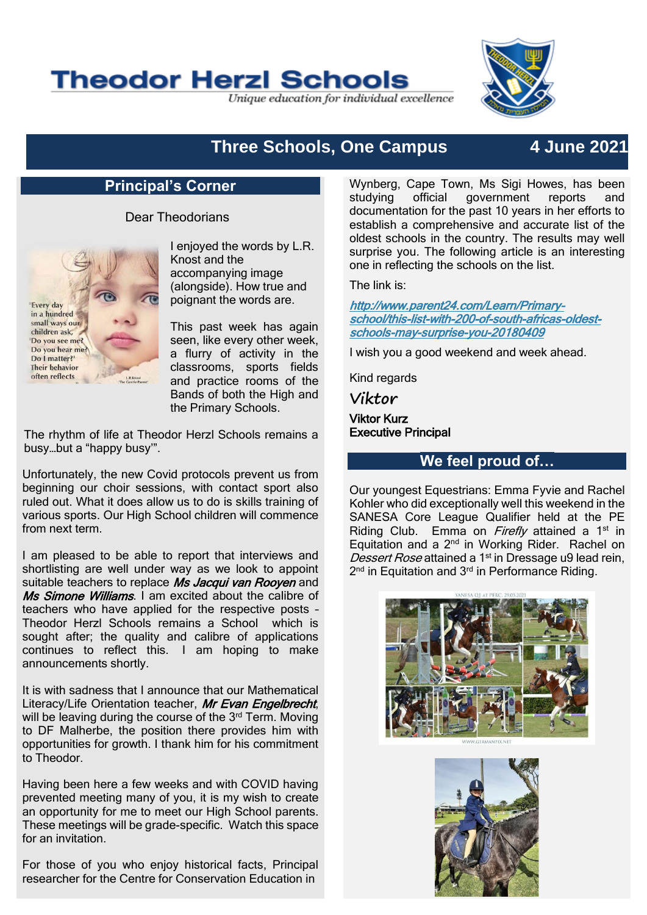# **Theodor Herzl Schools**

Unique education for individual excellence



## **Three Schools, One Campus 4 June 2021**

#### **Principal's Corner**

#### Dear Theodorians



I enjoyed the words by L.R. Knost and the accompanying image (alongside). How true and poignant the words are.

This past week has again seen, like every other week, a flurry of activity in the classrooms, sports fields and practice rooms of the Bands of both the High and the Primary Schools.

The rhythm of life at Theodor Herzl Schools remains a busy…but a "happy busy'".

Unfortunately, the new Covid protocols prevent us from beginning our choir sessions, with contact sport also ruled out. What it does allow us to do is skills training of various sports. Our High School children will commence from next term.

I am pleased to be able to report that interviews and shortlisting are well under way as we look to appoint suitable teachers to replace Ms Jacqui van Rooyen and Ms Simone Williams. I am excited about the calibre of teachers who have applied for the respective posts – Theodor Herzl Schools remains a School which is sought after; the quality and calibre of applications continues to reflect this. I am hoping to make announcements shortly.

It is with sadness that I announce that our Mathematical Literacy/Life Orientation teacher, Mr Evan Engelbrecht, will be leaving during the course of the 3<sup>rd</sup> Term. Moving to DF Malherbe, the position there provides him with opportunities for growth. I thank him for his commitment to Theodor.

Having been here a few weeks and with COVID having prevented meeting many of you, it is my wish to create an opportunity for me to meet our High School parents. These meetings will be grade-specific. Watch this space for an invitation.

For those of you who enjoy historical facts, Principal researcher for the Centre for Conservation Education in

Wynberg, Cape Town, Ms Sigi Howes, has been studying official government reports and documentation for the past 10 years in her efforts to establish a comprehensive and accurate list of the oldest schools in the country. The results may well surprise you. The following article is an interesting one in reflecting the schools on the list.

The link is:

[http://www.parent24.com/Learn/Primary](http://www.parent24.com/Learn/Primary-school/this-list-with-200-of-south-africas-oldest-schools-may-surprise-you-20180409)[school/this-list-with-200-of-south-africas-oldest](http://www.parent24.com/Learn/Primary-school/this-list-with-200-of-south-africas-oldest-schools-may-surprise-you-20180409)[schools-may-surprise-you-20180409](http://www.parent24.com/Learn/Primary-school/this-list-with-200-of-south-africas-oldest-schools-may-surprise-you-20180409)

I wish you a good weekend and week ahead.

Kind regards

**Viktor**

Viktor Kurz Executive Principal

#### **We feel proud of…**

Our youngest Equestrians: Emma Fyvie and Rachel Kohler who did exceptionally well this weekend in the SANESA Core League Qualifier held at the PE Riding Club. Emma on Firefly attained a 1<sup>st</sup> in Equitation and a 2nd in Working Rider. Rachel on Dessert Rose attained a 1<sup>st</sup> in Dressage u9 lead rein, 2<sup>nd</sup> in Equitation and 3<sup>rd</sup> in Performance Riding.



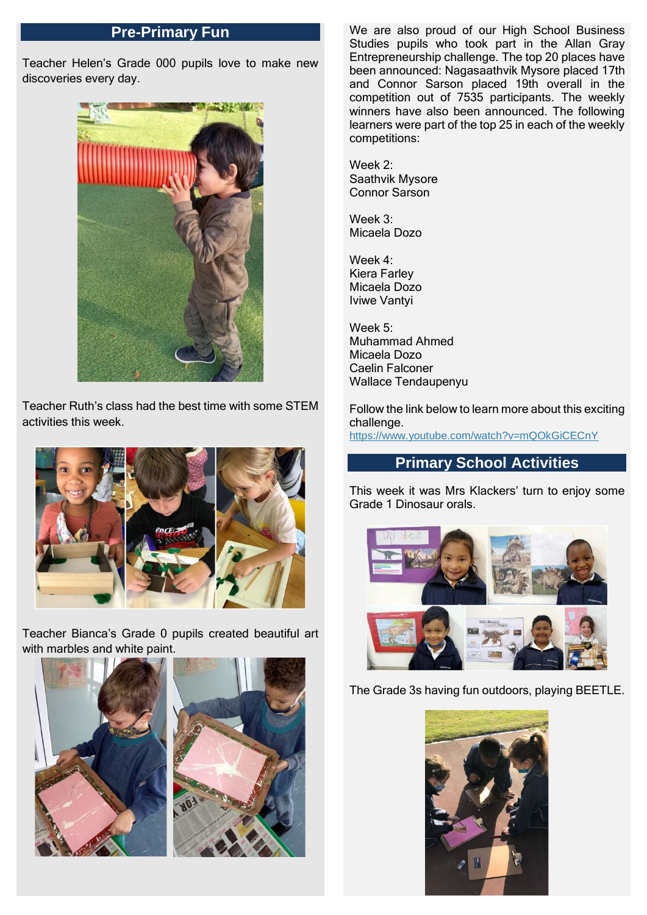#### **Pre-Primary Fun**

Teacher Helen's Grade 000 pupils love to make new discoveries every day.



Teacher Ruth's class had the best time with some STEM activities this week.



Teacher Bianca's Grade 0 pupils created beautiful art with marbles and white paint.





We are also proud of our High School Business Studies pupils who took part in the Allan Gray Entrepreneurship challenge. The top 20 places have been announced: Nagasaathvik Mysore placed 17th and Connor Sarson placed 19th overall in the competition out of 7535 participants. The weekly winners have also been announced. The following learners were part of the top 25 in each of the weekly competitions:

Week 2: Saathvik Mysore Connor Sarson

Week 3: Micaela Dozo

Week 4: Kiera Farley Micaela Dozo Iviwe Vantyi

Week 5: Muhammad Ahmed Micaela Dozo Caelin Falconer Wallace Tendaupenyu

Follow the link below to learn more about this exciting challenge. <https://www.youtube.com/watch?v=mQOkGiCECnY>

#### **Primary School Activities**

This week it was Mrs Klackers' turn to enjoy some Grade 1 Dinosaur orals.



The Grade 3s having fun outdoors, playing BEETLE.